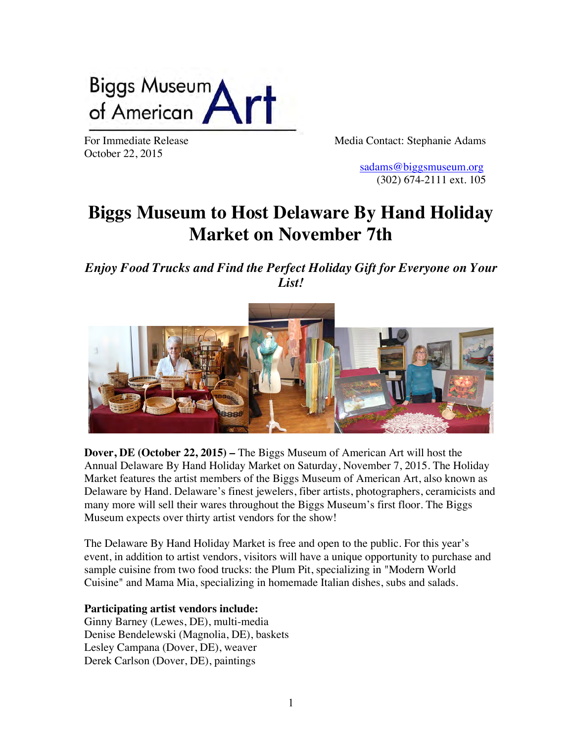

October 22, 2015

For Immediate Release The Media Contact: Stephanie Adams

 [sadams@biggsmuseum.org](mailto:sadams@biggsmuseum.org) (302) 674-2111 ext. 105

## **Biggs Museum to Host Delaware By Hand Holiday Market on November 7th**

*Enjoy Food Trucks and Find the Perfect Holiday Gift for Everyone on Your List!*



**Dover, DE (October 22, 2015) –** The Biggs Museum of American Art will host the Annual Delaware By Hand Holiday Market on Saturday, November 7, 2015. The Holiday Market features the artist members of the Biggs Museum of American Art, also known as Delaware by Hand. Delaware's finest jewelers, fiber artists, photographers, ceramicists and many more will sell their wares throughout the Biggs Museum's first floor. The Biggs Museum expects over thirty artist vendors for the show!

The Delaware By Hand Holiday Market is free and open to the public. For this year's event, in addition to artist vendors, visitors will have a unique opportunity to purchase and sample cuisine from two food trucks: the Plum Pit, specializing in "Modern World Cuisine" and Mama Mia, specializing in homemade Italian dishes, subs and salads.

## **Participating artist vendors include:**

Ginny Barney (Lewes, DE), multi-media Denise Bendelewski (Magnolia, DE), baskets Lesley Campana (Dover, DE), weaver Derek Carlson (Dover, DE), paintings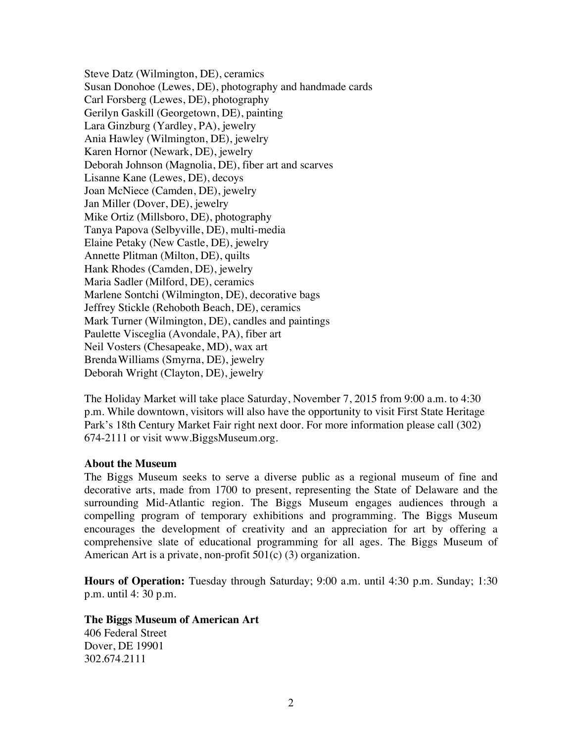Steve Datz (Wilmington, DE), ceramics Susan Donohoe (Lewes, DE), photography and handmade cards Carl Forsberg (Lewes, DE), photography Gerilyn Gaskill (Georgetown, DE), painting Lara Ginzburg (Yardley, PA), jewelry Ania Hawley (Wilmington, DE), jewelry Karen Hornor (Newark, DE), jewelry Deborah Johnson (Magnolia, DE), fiber art and scarves Lisanne Kane (Lewes, DE), decoys Joan McNiece (Camden, DE), jewelry Jan Miller (Dover, DE), jewelry Mike Ortiz (Millsboro, DE), photography Tanya Papova (Selbyville, DE), multi-media Elaine Petaky (New Castle, DE), jewelry Annette Plitman (Milton, DE), quilts Hank Rhodes (Camden, DE), jewelry Maria Sadler (Milford, DE), ceramics Marlene Sontchi (Wilmington, DE), decorative bags Jeffrey Stickle (Rehoboth Beach, DE), ceramics Mark Turner (Wilmington, DE), candles and paintings Paulette Visceglia (Avondale, PA), fiber art Neil Vosters (Chesapeake, MD), wax art BrendaWilliams (Smyrna, DE), jewelry Deborah Wright (Clayton, DE), jewelry

The Holiday Market will take place Saturday, November 7, 2015 from 9:00 a.m. to 4:30 p.m. While downtown, visitors will also have the opportunity to visit First State Heritage Park's 18th Century Market Fair right next door. For more information please call (302) 674-2111 or visit www.BiggsMuseum.org.

## **About the Museum**

The Biggs Museum seeks to serve a diverse public as a regional museum of fine and decorative arts, made from 1700 to present, representing the State of Delaware and the surrounding Mid-Atlantic region. The Biggs Museum engages audiences through a compelling program of temporary exhibitions and programming. The Biggs Museum encourages the development of creativity and an appreciation for art by offering a comprehensive slate of educational programming for all ages. The Biggs Museum of American Art is a private, non-profit 501(c) (3) organization.

**Hours of Operation:** Tuesday through Saturday; 9:00 a.m. until 4:30 p.m. Sunday; 1:30 p.m. until 4: 30 p.m.

**The Biggs Museum of American Art** 406 Federal Street Dover, DE 19901 302.674.2111